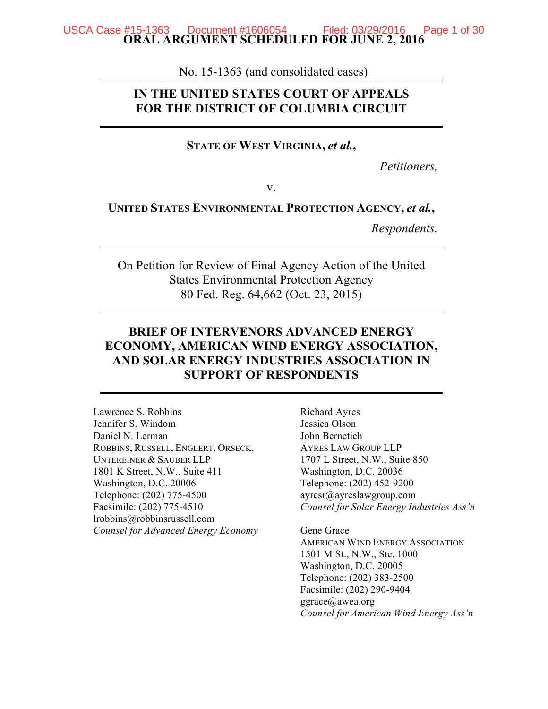#### **ORAL ARGUMENT SCHEDULED FOR JUNE 2, 2016** USCA Case #15-1363 Document #1606054

No. 15-1363 (and consolidated cases)

## **IN THE UNITED STATES COURT OF APPEALS FOR THE DISTRICT OF COLUMBIA CIRCUIT**

#### **STATE OF WEST VIRGINIA,** *et al.***,**

*Petitioners,*

v.

#### **UNITED STATES ENVIRONMENTAL PROTECTION AGENCY,** *et al.***,**

*Respondents.*

On Petition for Review of Final Agency Action of the United States Environmental Protection Agency 80 Fed. Reg. 64,662 (Oct. 23, 2015)

## **BRIEF OF INTERVENORS ADVANCED ENERGY ECONOMY, AMERICAN WIND ENERGY ASSOCIATION, AND SOLAR ENERGY INDUSTRIES ASSOCIATION IN SUPPORT OF RESPONDENTS**

Lawrence S. Robbins Jennifer S. Windom Daniel N. Lerman ROBBINS, RUSSELL, ENGLERT, ORSECK, UNTEREINER & SAUBER LLP 1801 K Street, N.W., Suite 411 Washington, D.C. 20006 Telephone: (202) 775-4500 Facsimile: (202) 775-4510 lrobbins@robbinsrussell.com *Counsel for Advanced Energy Economy* Richard Ayres Jessica Olson John Bernetich AYRES LAW GROUP LLP 1707 L Street, N.W., Suite 850 Washington, D.C. 20036 Telephone: (202) 452-9200 ayresr@ayreslawgroup.com *Counsel for Solar Energy Industries Ass'n* 

Gene Grace AMERICAN WIND ENERGY ASSOCIATION 1501 M St., N.W., Ste. 1000 Washington, D.C. 20005 Telephone: (202) 383-2500 Facsimile: (202) 290-9404 ggrace@awea.org *Counsel for American Wind Energy Ass'n*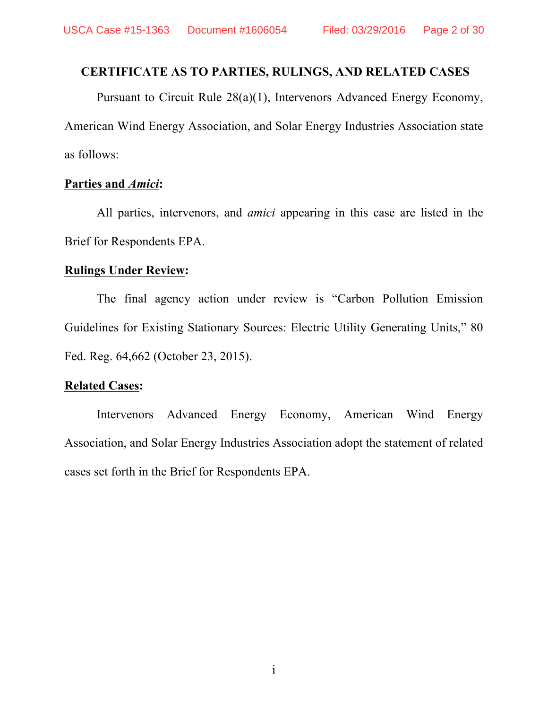# **CERTIFICATE AS TO PARTIES, RULINGS, AND RELATED CASES**

Pursuant to Circuit Rule 28(a)(1), Intervenors Advanced Energy Economy, American Wind Energy Association, and Solar Energy Industries Association state as follows:

## **Parties and** *Amici***:**

All parties, intervenors, and *amici* appearing in this case are listed in the Brief for Respondents EPA.

### **Rulings Under Review:**

The final agency action under review is "Carbon Pollution Emission Guidelines for Existing Stationary Sources: Electric Utility Generating Units," 80 Fed. Reg. 64,662 (October 23, 2015).

## **Related Cases:**

Intervenors Advanced Energy Economy, American Wind Energy Association, and Solar Energy Industries Association adopt the statement of related cases set forth in the Brief for Respondents EPA.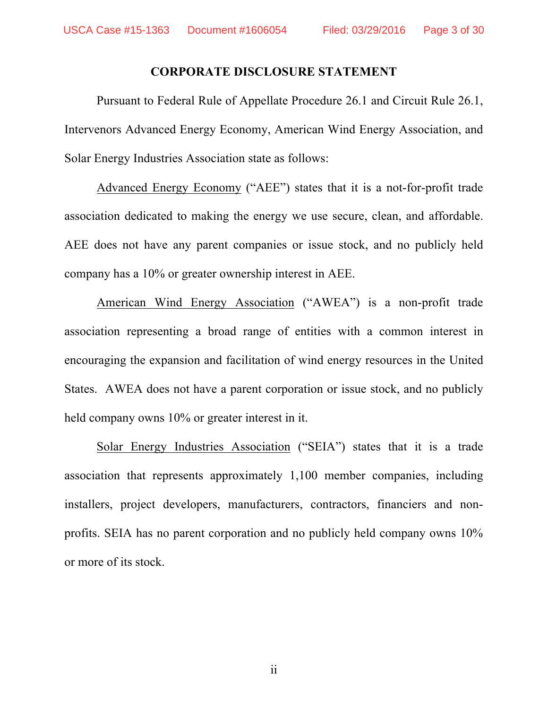### **CORPORATE DISCLOSURE STATEMENT**

Pursuant to Federal Rule of Appellate Procedure 26.1 and Circuit Rule 26.1, Intervenors Advanced Energy Economy, American Wind Energy Association, and Solar Energy Industries Association state as follows:

Advanced Energy Economy ("AEE") states that it is a not-for-profit trade association dedicated to making the energy we use secure, clean, and affordable. AEE does not have any parent companies or issue stock, and no publicly held company has a 10% or greater ownership interest in AEE.

American Wind Energy Association ("AWEA") is a non-profit trade association representing a broad range of entities with a common interest in encouraging the expansion and facilitation of wind energy resources in the United States. AWEA does not have a parent corporation or issue stock, and no publicly held company owns 10% or greater interest in it.

Solar Energy Industries Association ("SEIA") states that it is a trade association that represents approximately 1,100 member companies, including installers, project developers, manufacturers, contractors, financiers and nonprofits. SEIA has no parent corporation and no publicly held company owns 10% or more of its stock.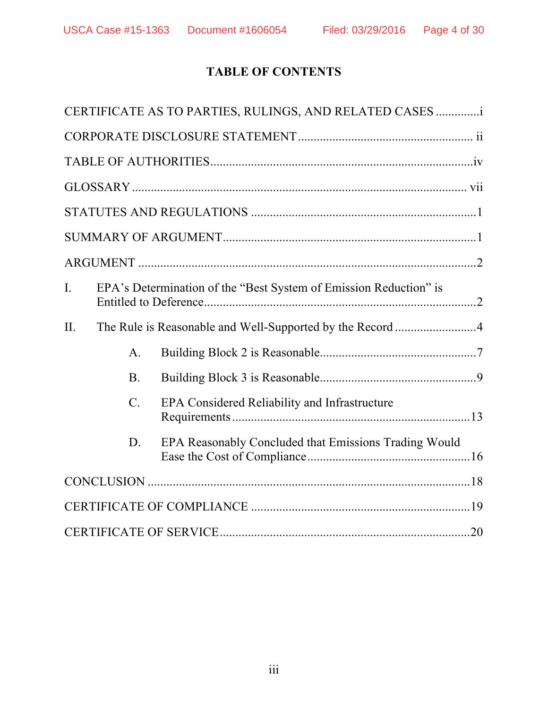# **TABLE OF CONTENTS**

|                |                 | CERTIFICATE AS TO PARTIES, RULINGS, AND RELATED CASES             |  |
|----------------|-----------------|-------------------------------------------------------------------|--|
|                |                 |                                                                   |  |
|                |                 |                                                                   |  |
|                |                 |                                                                   |  |
|                |                 |                                                                   |  |
|                |                 |                                                                   |  |
|                |                 |                                                                   |  |
| $\mathbf{I}$ . |                 | EPA's Determination of the "Best System of Emission Reduction" is |  |
| II.            |                 |                                                                   |  |
|                | $\mathbf{A}$ .  |                                                                   |  |
|                | <b>B</b> .      |                                                                   |  |
|                | $\mathcal{C}$ . | EPA Considered Reliability and Infrastructure                     |  |
|                | D.              | EPA Reasonably Concluded that Emissions Trading Would             |  |
|                |                 |                                                                   |  |
|                |                 |                                                                   |  |
|                |                 |                                                                   |  |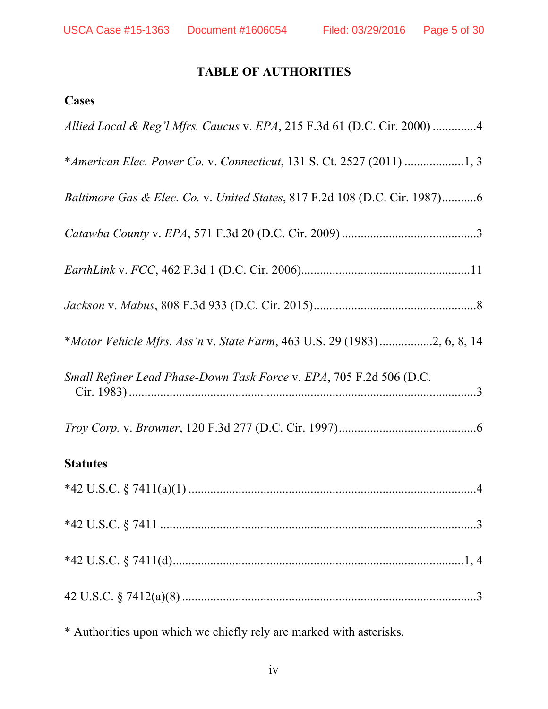# **TABLE OF AUTHORITIES**

# **Cases**

| Allied Local & Reg'l Mfrs. Caucus v. EPA, 215 F.3d 61 (D.C. Cir. 2000) 4   |
|----------------------------------------------------------------------------|
|                                                                            |
| Baltimore Gas & Elec. Co. v. United States, 817 F.2d 108 (D.C. Cir. 1987)6 |
|                                                                            |
|                                                                            |
|                                                                            |
| *Motor Vehicle Mfrs. Ass'n v. State Farm, 463 U.S. 29 (1983)2, 6, 8, 14    |
| Small Refiner Lead Phase-Down Task Force v. EPA, 705 F.2d 506 (D.C.        |
|                                                                            |
| <b>Statutes</b>                                                            |
|                                                                            |
|                                                                            |
|                                                                            |
|                                                                            |

\* Authorities upon which we chiefly rely are marked with asterisks.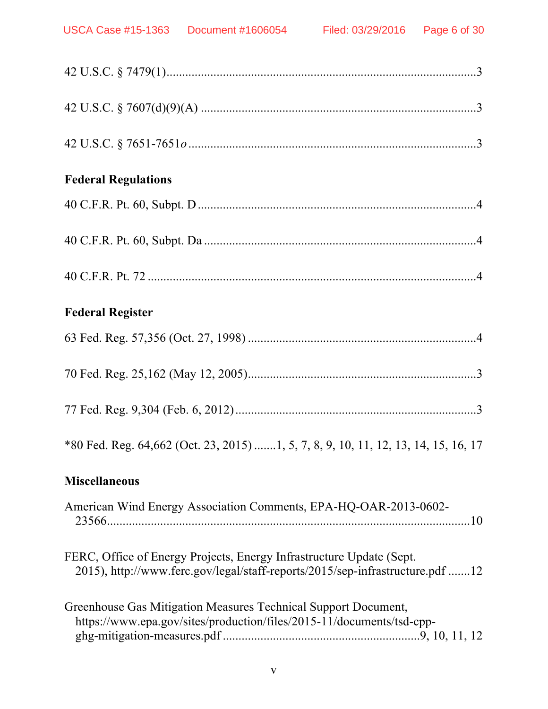| <b>Federal Regulations</b>                                                                                                                            |
|-------------------------------------------------------------------------------------------------------------------------------------------------------|
|                                                                                                                                                       |
|                                                                                                                                                       |
|                                                                                                                                                       |
| <b>Federal Register</b>                                                                                                                               |
|                                                                                                                                                       |
|                                                                                                                                                       |
|                                                                                                                                                       |
| *80 Fed. Reg. 64,662 (Oct. 23, 2015) 1, 5, 7, 8, 9, 10, 11, 12, 13, 14, 15, 16, 17                                                                    |
| <b>Miscellaneous</b>                                                                                                                                  |
| American Wind Energy Association Comments, EPA-HQ-OAR-2013-0602-                                                                                      |
| FERC, Office of Energy Projects, Energy Infrastructure Update (Sept.<br>2015), http://www.ferc.gov/legal/staff-reports/2015/sep-infrastructure.pdf 12 |
| Greenhouse Gas Mitigation Measures Technical Support Document,<br>https://www.epa.gov/sites/production/files/2015-11/documents/tsd-cpp-               |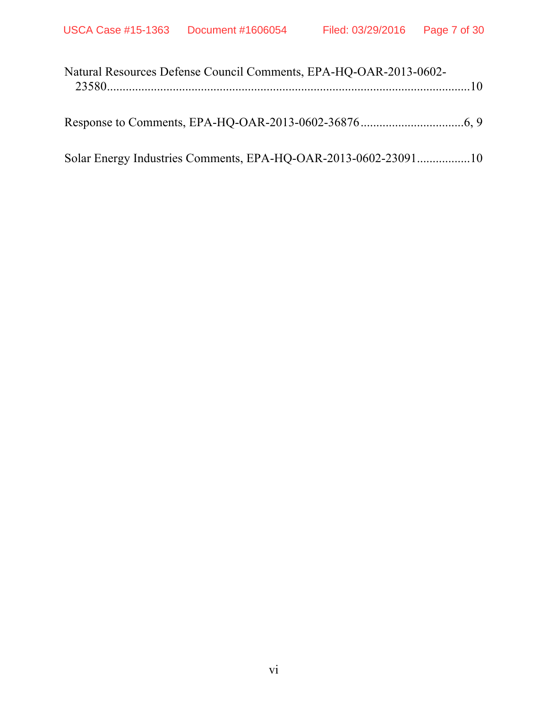| Natural Resources Defense Council Comments, EPA-HQ-OAR-2013-0602- |  |
|-------------------------------------------------------------------|--|
|                                                                   |  |
|                                                                   |  |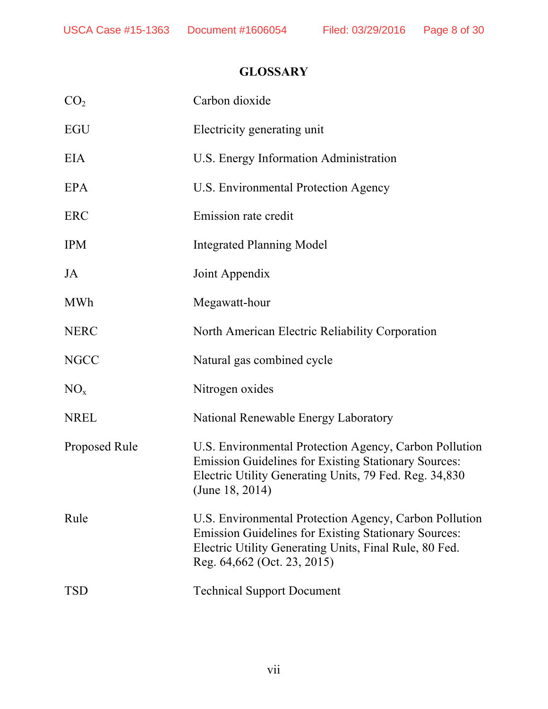# **GLOSSARY**

| Carbon dioxide                                                                                                                                                                                                 |
|----------------------------------------------------------------------------------------------------------------------------------------------------------------------------------------------------------------|
| Electricity generating unit                                                                                                                                                                                    |
| U.S. Energy Information Administration                                                                                                                                                                         |
| U.S. Environmental Protection Agency                                                                                                                                                                           |
| Emission rate credit                                                                                                                                                                                           |
| <b>Integrated Planning Model</b>                                                                                                                                                                               |
| Joint Appendix                                                                                                                                                                                                 |
| Megawatt-hour                                                                                                                                                                                                  |
| North American Electric Reliability Corporation                                                                                                                                                                |
| Natural gas combined cycle                                                                                                                                                                                     |
| Nitrogen oxides                                                                                                                                                                                                |
| National Renewable Energy Laboratory                                                                                                                                                                           |
| U.S. Environmental Protection Agency, Carbon Pollution<br><b>Emission Guidelines for Existing Stationary Sources:</b><br>Electric Utility Generating Units, 79 Fed. Reg. 34,830<br>(June $18, 2014$ )          |
| U.S. Environmental Protection Agency, Carbon Pollution<br><b>Emission Guidelines for Existing Stationary Sources:</b><br>Electric Utility Generating Units, Final Rule, 80 Fed.<br>Reg. 64,662 (Oct. 23, 2015) |
| <b>Technical Support Document</b>                                                                                                                                                                              |
|                                                                                                                                                                                                                |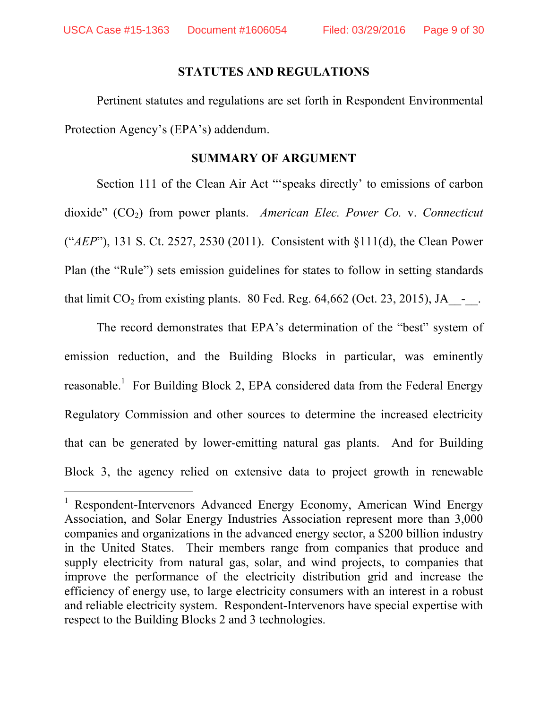## **STATUTES AND REGULATIONS**

Pertinent statutes and regulations are set forth in Respondent Environmental Protection Agency's (EPA's) addendum.

## **SUMMARY OF ARGUMENT**

Section 111 of the Clean Air Act "'speaks directly' to emissions of carbon dioxide" (CO<sub>2</sub>) from power plants. *American Elec. Power Co. v. Connecticut* ("*AEP*"), 131 S. Ct. 2527, 2530 (2011). Consistent with §111(d), the Clean Power Plan (the "Rule") sets emission guidelines for states to follow in setting standards that limit  $CO_2$  from existing plants. 80 Fed. Reg. 64,662 (Oct. 23, 2015), JA  $\sim$ .

The record demonstrates that EPA's determination of the "best" system of emission reduction, and the Building Blocks in particular, was eminently reasonable.<sup>1</sup> For Building Block 2, EPA considered data from the Federal Energy Regulatory Commission and other sources to determine the increased electricity that can be generated by lower-emitting natural gas plants. And for Building Block 3, the agency relied on extensive data to project growth in renewable

 <sup>1</sup> Respondent-Intervenors Advanced Energy Economy, American Wind Energy Association, and Solar Energy Industries Association represent more than 3,000 companies and organizations in the advanced energy sector, a \$200 billion industry in the United States. Their members range from companies that produce and supply electricity from natural gas, solar, and wind projects, to companies that improve the performance of the electricity distribution grid and increase the efficiency of energy use, to large electricity consumers with an interest in a robust and reliable electricity system. Respondent-Intervenors have special expertise with respect to the Building Blocks 2 and 3 technologies.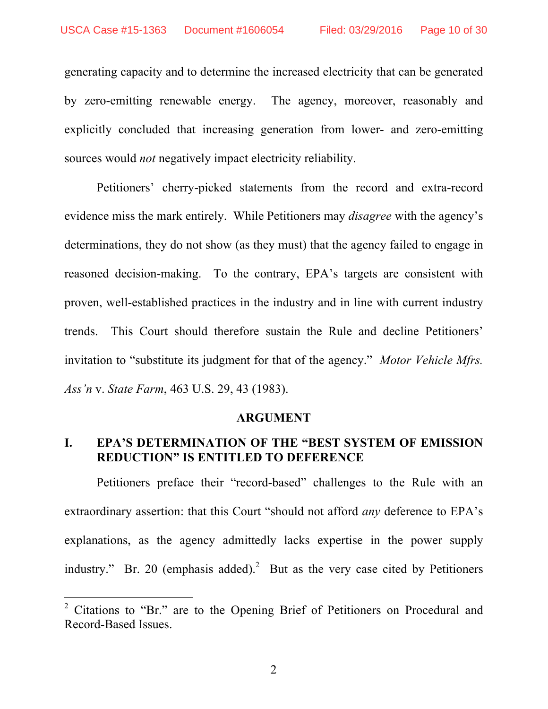generating capacity and to determine the increased electricity that can be generated by zero-emitting renewable energy. The agency, moreover, reasonably and explicitly concluded that increasing generation from lower- and zero-emitting sources would *not* negatively impact electricity reliability.

Petitioners' cherry-picked statements from the record and extra-record evidence miss the mark entirely. While Petitioners may *disagree* with the agency's determinations, they do not show (as they must) that the agency failed to engage in reasoned decision-making. To the contrary, EPA's targets are consistent with proven, well-established practices in the industry and in line with current industry trends. This Court should therefore sustain the Rule and decline Petitioners' invitation to "substitute its judgment for that of the agency." *Motor Vehicle Mfrs. Ass'n* v. *State Farm*, 463 U.S. 29, 43 (1983).

#### **ARGUMENT**

## **I. EPA'S DETERMINATION OF THE "BEST SYSTEM OF EMISSION REDUCTION" IS ENTITLED TO DEFERENCE**

Petitioners preface their "record-based" challenges to the Rule with an extraordinary assertion: that this Court "should not afford *any* deference to EPA's explanations, as the agency admittedly lacks expertise in the power supply industry." Br. 20 (emphasis added).<sup>2</sup> But as the very case cited by Petitioners

<sup>&</sup>lt;sup>2</sup> Citations to "Br." are to the Opening Brief of Petitioners on Procedural and Record-Based Issues.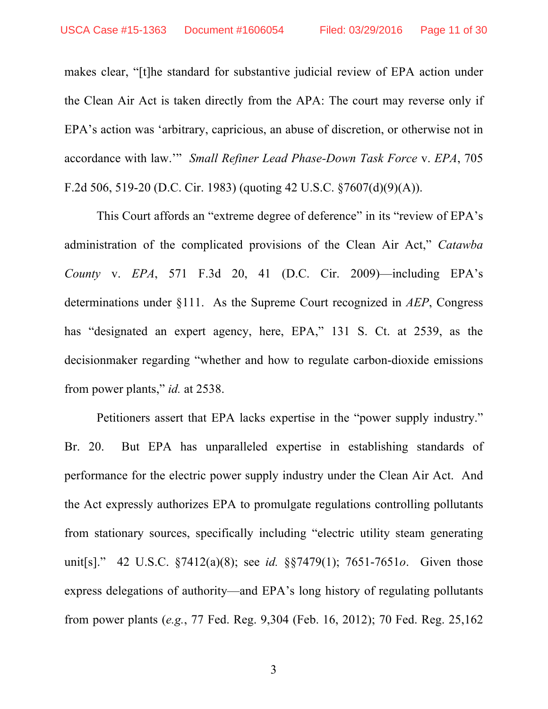makes clear, "[t]he standard for substantive judicial review of EPA action under the Clean Air Act is taken directly from the APA: The court may reverse only if EPA's action was 'arbitrary, capricious, an abuse of discretion, or otherwise not in accordance with law.'" *Small Refiner Lead Phase-Down Task Force* v. *EPA*, 705 F.2d 506, 519-20 (D.C. Cir. 1983) (quoting 42 U.S.C. §7607(d)(9)(A)).

This Court affords an "extreme degree of deference" in its "review of EPA's administration of the complicated provisions of the Clean Air Act," *Catawba County* v. *EPA*, 571 F.3d 20, 41 (D.C. Cir. 2009)—including EPA's determinations under §111. As the Supreme Court recognized in *AEP*, Congress has "designated an expert agency, here, EPA," 131 S. Ct. at 2539, as the decisionmaker regarding "whether and how to regulate carbon-dioxide emissions from power plants," *id.* at 2538.

Petitioners assert that EPA lacks expertise in the "power supply industry." Br. 20. But EPA has unparalleled expertise in establishing standards of performance for the electric power supply industry under the Clean Air Act. And the Act expressly authorizes EPA to promulgate regulations controlling pollutants from stationary sources, specifically including "electric utility steam generating unit[s]." 42 U.S.C. §7412(a)(8); see *id.* §§7479(1); 7651-7651*o*. Given those express delegations of authority—and EPA's long history of regulating pollutants from power plants (*e.g.*, 77 Fed. Reg. 9,304 (Feb. 16, 2012); 70 Fed. Reg. 25,162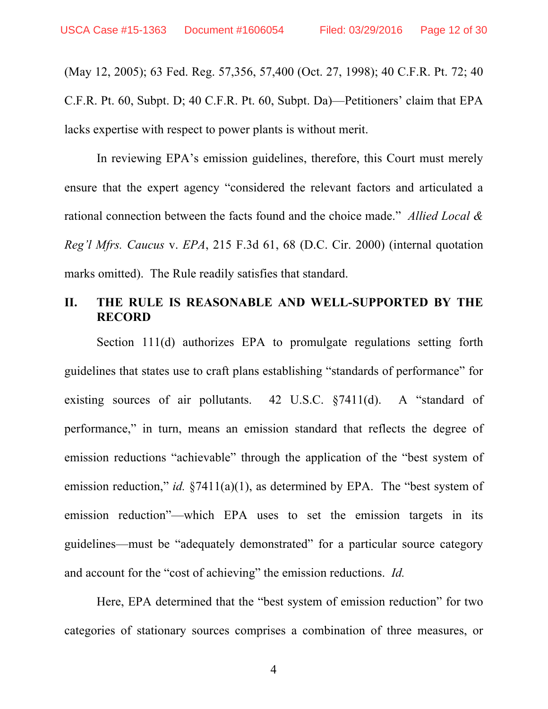(May 12, 2005); 63 Fed. Reg. 57,356, 57,400 (Oct. 27, 1998); 40 C.F.R. Pt. 72; 40 C.F.R. Pt. 60, Subpt. D; 40 C.F.R. Pt. 60, Subpt. Da)—Petitioners' claim that EPA lacks expertise with respect to power plants is without merit.

In reviewing EPA's emission guidelines, therefore, this Court must merely ensure that the expert agency "considered the relevant factors and articulated a rational connection between the facts found and the choice made." *Allied Local & Reg'l Mfrs. Caucus* v. *EPA*, 215 F.3d 61, 68 (D.C. Cir. 2000) (internal quotation marks omitted). The Rule readily satisfies that standard.

# **II. THE RULE IS REASONABLE AND WELL-SUPPORTED BY THE RECORD**

Section 111(d) authorizes EPA to promulgate regulations setting forth guidelines that states use to craft plans establishing "standards of performance" for existing sources of air pollutants. 42 U.S.C. §7411(d). A "standard of performance," in turn, means an emission standard that reflects the degree of emission reductions "achievable" through the application of the "best system of emission reduction," *id.* §7411(a)(1), as determined by EPA. The "best system of emission reduction"—which EPA uses to set the emission targets in its guidelines—must be "adequately demonstrated" for a particular source category and account for the "cost of achieving" the emission reductions. *Id.*

Here, EPA determined that the "best system of emission reduction" for two categories of stationary sources comprises a combination of three measures, or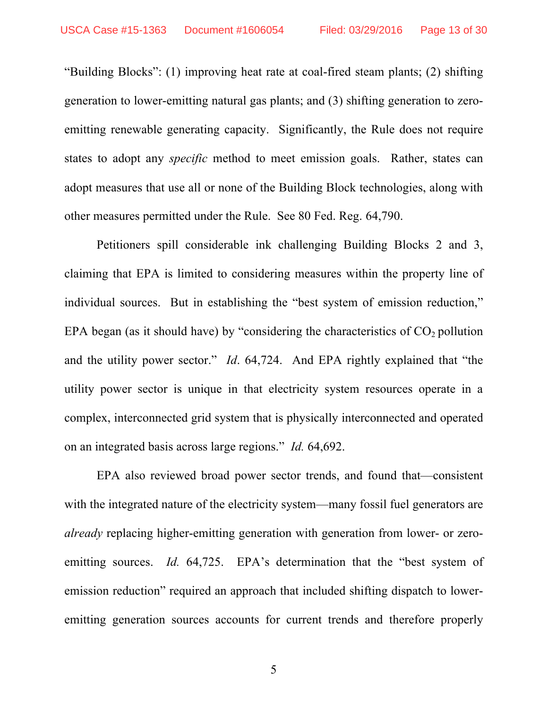"Building Blocks": (1) improving heat rate at coal-fired steam plants; (2) shifting generation to lower-emitting natural gas plants; and (3) shifting generation to zeroemitting renewable generating capacity. Significantly, the Rule does not require states to adopt any *specific* method to meet emission goals. Rather, states can adopt measures that use all or none of the Building Block technologies, along with other measures permitted under the Rule. See 80 Fed. Reg. 64,790.

Petitioners spill considerable ink challenging Building Blocks 2 and 3, claiming that EPA is limited to considering measures within the property line of individual sources. But in establishing the "best system of emission reduction," EPA began (as it should have) by "considering the characteristics of  $CO<sub>2</sub>$  pollution and the utility power sector." *Id*. 64,724. And EPA rightly explained that "the utility power sector is unique in that electricity system resources operate in a complex, interconnected grid system that is physically interconnected and operated on an integrated basis across large regions." *Id.* 64,692.

EPA also reviewed broad power sector trends, and found that—consistent with the integrated nature of the electricity system—many fossil fuel generators are *already* replacing higher-emitting generation with generation from lower- or zeroemitting sources. *Id.* 64,725. EPA's determination that the "best system of emission reduction" required an approach that included shifting dispatch to loweremitting generation sources accounts for current trends and therefore properly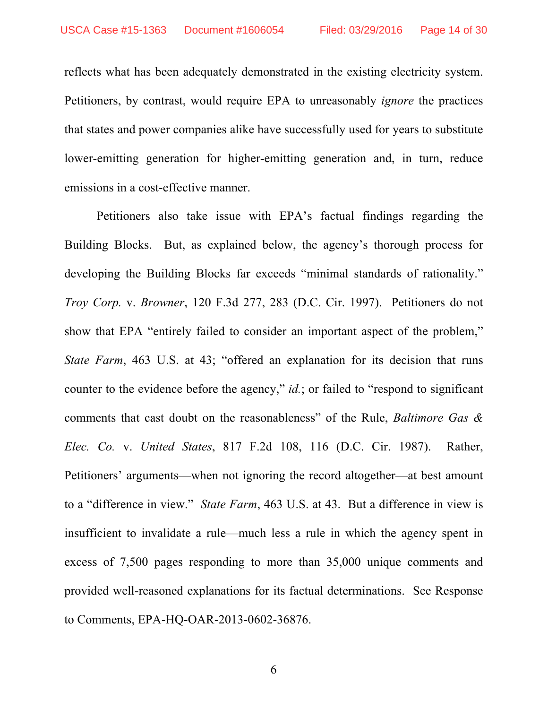reflects what has been adequately demonstrated in the existing electricity system. Petitioners, by contrast, would require EPA to unreasonably *ignore* the practices that states and power companies alike have successfully used for years to substitute lower-emitting generation for higher-emitting generation and, in turn, reduce emissions in a cost-effective manner.

Petitioners also take issue with EPA's factual findings regarding the Building Blocks. But, as explained below, the agency's thorough process for developing the Building Blocks far exceeds "minimal standards of rationality." *Troy Corp.* v. *Browner*, 120 F.3d 277, 283 (D.C. Cir. 1997). Petitioners do not show that EPA "entirely failed to consider an important aspect of the problem," *State Farm*, 463 U.S. at 43; "offered an explanation for its decision that runs counter to the evidence before the agency," *id.*; or failed to "respond to significant" comments that cast doubt on the reasonableness" of the Rule, *Baltimore Gas & Elec. Co.* v. *United States*, 817 F.2d 108, 116 (D.C. Cir. 1987). Rather, Petitioners' arguments—when not ignoring the record altogether—at best amount to a "difference in view." *State Farm*, 463 U.S. at 43. But a difference in view is insufficient to invalidate a rule—much less a rule in which the agency spent in excess of 7,500 pages responding to more than 35,000 unique comments and provided well-reasoned explanations for its factual determinations. See Response to Comments, EPA-HQ-OAR-2013-0602-36876.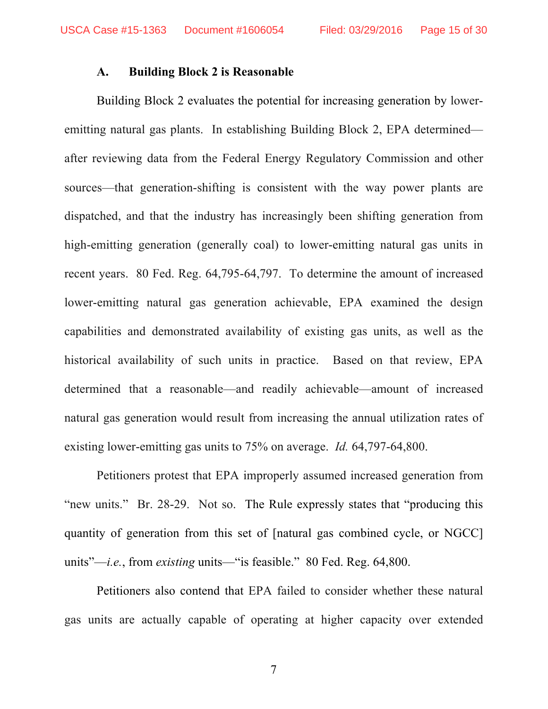#### **A. Building Block 2 is Reasonable**

Building Block 2 evaluates the potential for increasing generation by loweremitting natural gas plants. In establishing Building Block 2, EPA determined after reviewing data from the Federal Energy Regulatory Commission and other sources—that generation-shifting is consistent with the way power plants are dispatched, and that the industry has increasingly been shifting generation from high-emitting generation (generally coal) to lower-emitting natural gas units in recent years. 80 Fed. Reg. 64,795-64,797. To determine the amount of increased lower-emitting natural gas generation achievable, EPA examined the design capabilities and demonstrated availability of existing gas units, as well as the historical availability of such units in practice. Based on that review, EPA determined that a reasonable—and readily achievable—amount of increased natural gas generation would result from increasing the annual utilization rates of existing lower-emitting gas units to 75% on average. *Id.* 64,797-64,800.

Petitioners protest that EPA improperly assumed increased generation from "new units." Br. 28-29. Not so. The Rule expressly states that "producing this quantity of generation from this set of [natural gas combined cycle, or NGCC] units"—*i.e.*, from *existing* units—"is feasible." 80 Fed. Reg. 64,800.

Petitioners also contend that EPA failed to consider whether these natural gas units are actually capable of operating at higher capacity over extended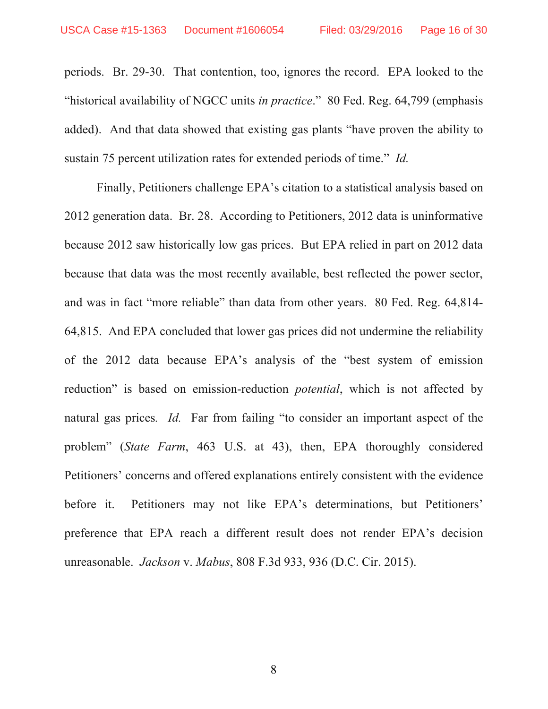periods. Br. 29-30. That contention, too, ignores the record. EPA looked to the "historical availability of NGCC units *in practice*." 80 Fed. Reg. 64,799 (emphasis added). And that data showed that existing gas plants "have proven the ability to sustain 75 percent utilization rates for extended periods of time." *Id.*

Finally, Petitioners challenge EPA's citation to a statistical analysis based on 2012 generation data. Br. 28. According to Petitioners, 2012 data is uninformative because 2012 saw historically low gas prices. But EPA relied in part on 2012 data because that data was the most recently available, best reflected the power sector, and was in fact "more reliable" than data from other years. 80 Fed. Reg. 64,814- 64,815. And EPA concluded that lower gas prices did not undermine the reliability of the 2012 data because EPA's analysis of the "best system of emission reduction" is based on emission-reduction *potential*, which is not affected by natural gas prices*. Id.* Far from failing "to consider an important aspect of the problem" (*State Farm*, 463 U.S. at 43), then, EPA thoroughly considered Petitioners' concerns and offered explanations entirely consistent with the evidence before it. Petitioners may not like EPA's determinations, but Petitioners' preference that EPA reach a different result does not render EPA's decision unreasonable. *Jackson* v. *Mabus*, 808 F.3d 933, 936 (D.C. Cir. 2015).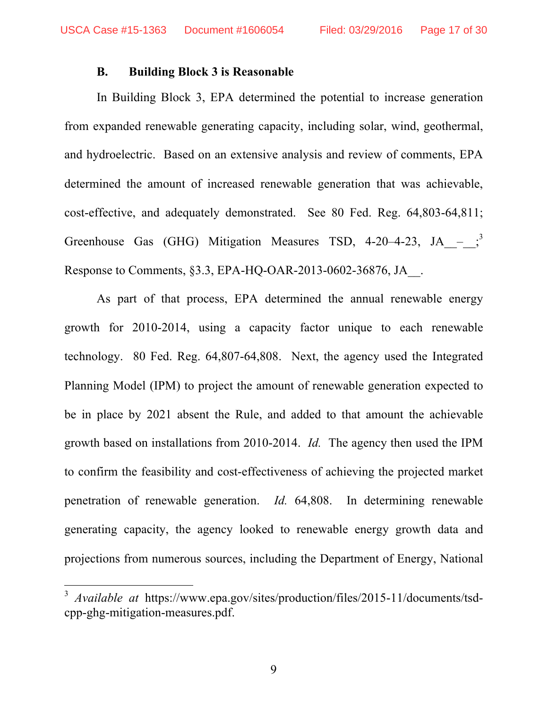### **B. Building Block 3 is Reasonable**

In Building Block 3, EPA determined the potential to increase generation from expanded renewable generating capacity, including solar, wind, geothermal, and hydroelectric. Based on an extensive analysis and review of comments, EPA determined the amount of increased renewable generation that was achievable, cost-effective, and adequately demonstrated. See 80 Fed. Reg. 64,803-64,811; Greenhouse Gas (GHG) Mitigation Measures TSD, 4-20-4-23, JA  $-$ ;<sup>3</sup> Response to Comments, §3.3, EPA-HQ-OAR-2013-0602-36876, JA\_\_.

As part of that process, EPA determined the annual renewable energy growth for 2010-2014, using a capacity factor unique to each renewable technology. 80 Fed. Reg. 64,807-64,808. Next, the agency used the Integrated Planning Model (IPM) to project the amount of renewable generation expected to be in place by 2021 absent the Rule, and added to that amount the achievable growth based on installations from 2010-2014. *Id.* The agency then used the IPM to confirm the feasibility and cost-effectiveness of achieving the projected market penetration of renewable generation. *Id.* 64,808. In determining renewable generating capacity, the agency looked to renewable energy growth data and projections from numerous sources, including the Department of Energy, National

 <sup>3</sup> *Available at* https://www.epa.gov/sites/production/files/2015-11/documents/tsdcpp-ghg-mitigation-measures.pdf.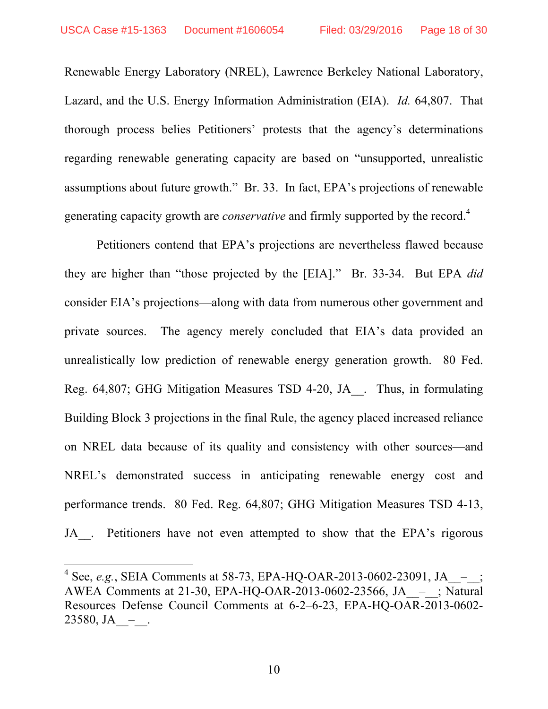Renewable Energy Laboratory (NREL), Lawrence Berkeley National Laboratory, Lazard, and the U.S. Energy Information Administration (EIA). *Id.* 64,807. That thorough process belies Petitioners' protests that the agency's determinations regarding renewable generating capacity are based on "unsupported, unrealistic assumptions about future growth." Br. 33. In fact, EPA's projections of renewable generating capacity growth are *conservative* and firmly supported by the record.<sup>4</sup>

Petitioners contend that EPA's projections are nevertheless flawed because they are higher than "those projected by the [EIA]." Br. 33-34. But EPA *did* consider EIA's projections—along with data from numerous other government and private sources. The agency merely concluded that EIA's data provided an unrealistically low prediction of renewable energy generation growth. 80 Fed. Reg. 64,807; GHG Mitigation Measures TSD 4-20, JA\_\_. Thus, in formulating Building Block 3 projections in the final Rule, the agency placed increased reliance on NREL data because of its quality and consistency with other sources—and NREL's demonstrated success in anticipating renewable energy cost and performance trends. 80 Fed. Reg. 64,807; GHG Mitigation Measures TSD 4-13, JA . Petitioners have not even attempted to show that the EPA's rigorous

<sup>&</sup>lt;sup>4</sup> See, *e.g.*, SEIA Comments at 58-73, EPA-HQ-OAR-2013-0602-23091, JA  $-$ ; AWEA Comments at 21-30, EPA-HO-OAR-2013-0602-23566, JA  $-$ ; Natural Resources Defense Council Comments at 6-2–6-23, EPA-HQ-OAR-2013-0602- 23580, JA\_\_–\_\_.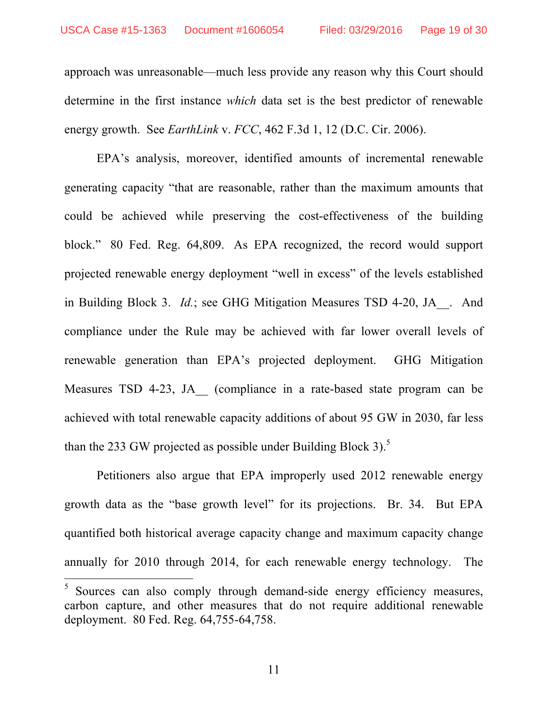approach was unreasonable—much less provide any reason why this Court should determine in the first instance *which* data set is the best predictor of renewable energy growth. See *EarthLink* v. *FCC*, 462 F.3d 1, 12 (D.C. Cir. 2006).

EPA's analysis, moreover, identified amounts of incremental renewable generating capacity "that are reasonable, rather than the maximum amounts that could be achieved while preserving the cost-effectiveness of the building block." 80 Fed. Reg. 64,809. As EPA recognized, the record would support projected renewable energy deployment "well in excess" of the levels established in Building Block 3. *Id.*; see GHG Mitigation Measures TSD 4-20, JA . And compliance under the Rule may be achieved with far lower overall levels of renewable generation than EPA's projected deployment. GHG Mitigation Measures TSD 4-23, JA (compliance in a rate-based state program can be achieved with total renewable capacity additions of about 95 GW in 2030, far less than the 233 GW projected as possible under Building Block 3).<sup>5</sup>

Petitioners also argue that EPA improperly used 2012 renewable energy growth data as the "base growth level" for its projections. Br. 34. But EPA quantified both historical average capacity change and maximum capacity change annually for 2010 through 2014, for each renewable energy technology. The

<sup>&</sup>lt;sup>5</sup> Sources can also comply through demand-side energy efficiency measures, carbon capture, and other measures that do not require additional renewable deployment. 80 Fed. Reg. 64,755-64,758.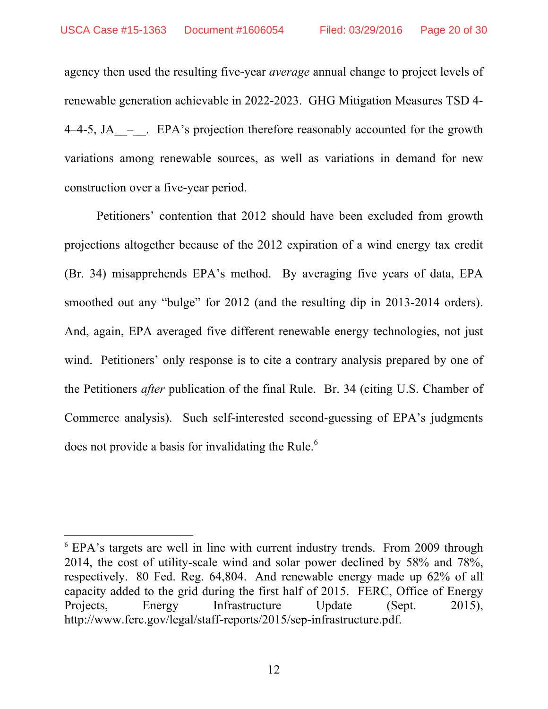agency then used the resulting five-year *average* annual change to project levels of renewable generation achievable in 2022-2023. GHG Mitigation Measures TSD 4- 4–4-5, JA – . EPA's projection therefore reasonably accounted for the growth variations among renewable sources, as well as variations in demand for new construction over a five-year period.

Petitioners' contention that 2012 should have been excluded from growth projections altogether because of the 2012 expiration of a wind energy tax credit (Br. 34) misapprehends EPA's method. By averaging five years of data, EPA smoothed out any "bulge" for 2012 (and the resulting dip in 2013-2014 orders). And, again, EPA averaged five different renewable energy technologies, not just wind. Petitioners' only response is to cite a contrary analysis prepared by one of the Petitioners *after* publication of the final Rule. Br. 34 (citing U.S. Chamber of Commerce analysis). Such self-interested second-guessing of EPA's judgments does not provide a basis for invalidating the Rule.<sup>6</sup>

 <sup>6</sup> EPA's targets are well in line with current industry trends. From 2009 through 2014, the cost of utility-scale wind and solar power declined by 58% and 78%, respectively. 80 Fed. Reg. 64,804. And renewable energy made up 62% of all capacity added to the grid during the first half of 2015. FERC, Office of Energy Projects, Energy Infrastructure Update (Sept. 2015), http://www.ferc.gov/legal/staff-reports/2015/sep-infrastructure.pdf.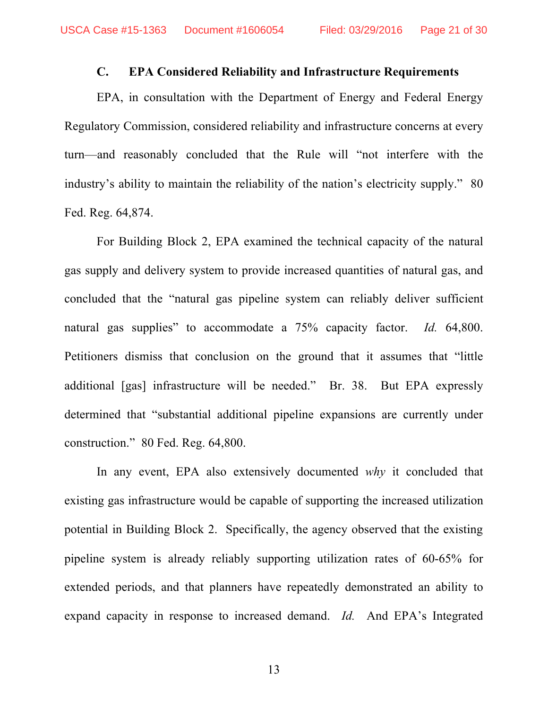### **C. EPA Considered Reliability and Infrastructure Requirements**

EPA, in consultation with the Department of Energy and Federal Energy Regulatory Commission, considered reliability and infrastructure concerns at every turn—and reasonably concluded that the Rule will "not interfere with the industry's ability to maintain the reliability of the nation's electricity supply." 80 Fed. Reg. 64,874.

For Building Block 2, EPA examined the technical capacity of the natural gas supply and delivery system to provide increased quantities of natural gas, and concluded that the "natural gas pipeline system can reliably deliver sufficient natural gas supplies" to accommodate a 75% capacity factor. *Id.* 64,800. Petitioners dismiss that conclusion on the ground that it assumes that "little additional [gas] infrastructure will be needed." Br. 38. But EPA expressly determined that "substantial additional pipeline expansions are currently under construction." 80 Fed. Reg. 64,800.

In any event, EPA also extensively documented *why* it concluded that existing gas infrastructure would be capable of supporting the increased utilization potential in Building Block 2. Specifically, the agency observed that the existing pipeline system is already reliably supporting utilization rates of 60-65% for extended periods, and that planners have repeatedly demonstrated an ability to expand capacity in response to increased demand. *Id.* And EPA's Integrated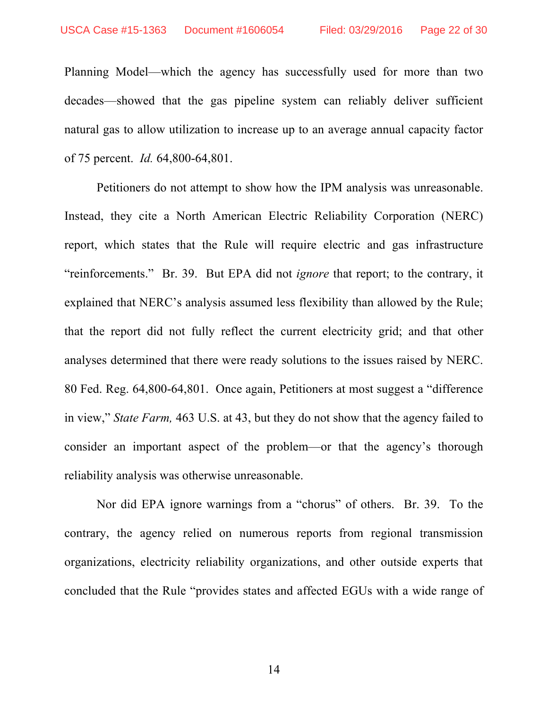Planning Model—which the agency has successfully used for more than two decades—showed that the gas pipeline system can reliably deliver sufficient natural gas to allow utilization to increase up to an average annual capacity factor of 75 percent. *Id.* 64,800-64,801.

Petitioners do not attempt to show how the IPM analysis was unreasonable. Instead, they cite a North American Electric Reliability Corporation (NERC) report, which states that the Rule will require electric and gas infrastructure "reinforcements." Br. 39. But EPA did not *ignore* that report; to the contrary, it explained that NERC's analysis assumed less flexibility than allowed by the Rule; that the report did not fully reflect the current electricity grid; and that other analyses determined that there were ready solutions to the issues raised by NERC. 80 Fed. Reg. 64,800-64,801. Once again, Petitioners at most suggest a "difference in view," *State Farm,* 463 U.S. at 43, but they do not show that the agency failed to consider an important aspect of the problem—or that the agency's thorough reliability analysis was otherwise unreasonable.

Nor did EPA ignore warnings from a "chorus" of others. Br. 39. To the contrary, the agency relied on numerous reports from regional transmission organizations, electricity reliability organizations, and other outside experts that concluded that the Rule "provides states and affected EGUs with a wide range of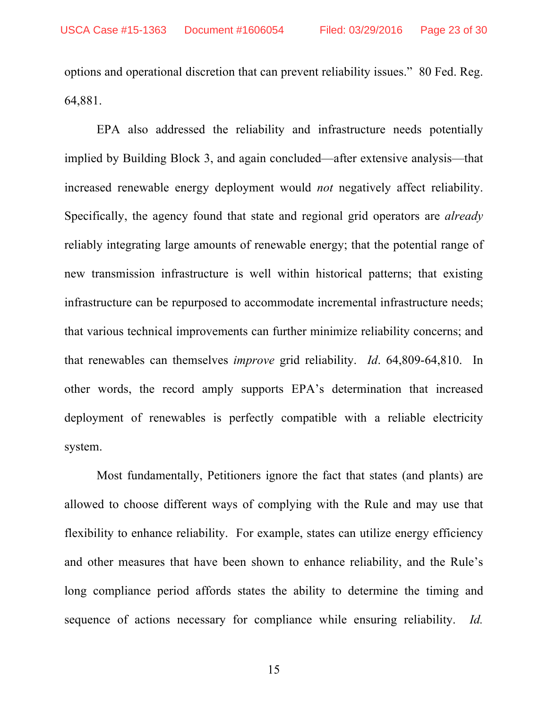options and operational discretion that can prevent reliability issues." 80 Fed. Reg. 64,881.

EPA also addressed the reliability and infrastructure needs potentially implied by Building Block 3, and again concluded—after extensive analysis—that increased renewable energy deployment would *not* negatively affect reliability. Specifically, the agency found that state and regional grid operators are *already* reliably integrating large amounts of renewable energy; that the potential range of new transmission infrastructure is well within historical patterns; that existing infrastructure can be repurposed to accommodate incremental infrastructure needs; that various technical improvements can further minimize reliability concerns; and that renewables can themselves *improve* grid reliability. *Id*. 64,809-64,810. In other words, the record amply supports EPA's determination that increased deployment of renewables is perfectly compatible with a reliable electricity system.

Most fundamentally, Petitioners ignore the fact that states (and plants) are allowed to choose different ways of complying with the Rule and may use that flexibility to enhance reliability. For example, states can utilize energy efficiency and other measures that have been shown to enhance reliability, and the Rule's long compliance period affords states the ability to determine the timing and sequence of actions necessary for compliance while ensuring reliability. *Id.*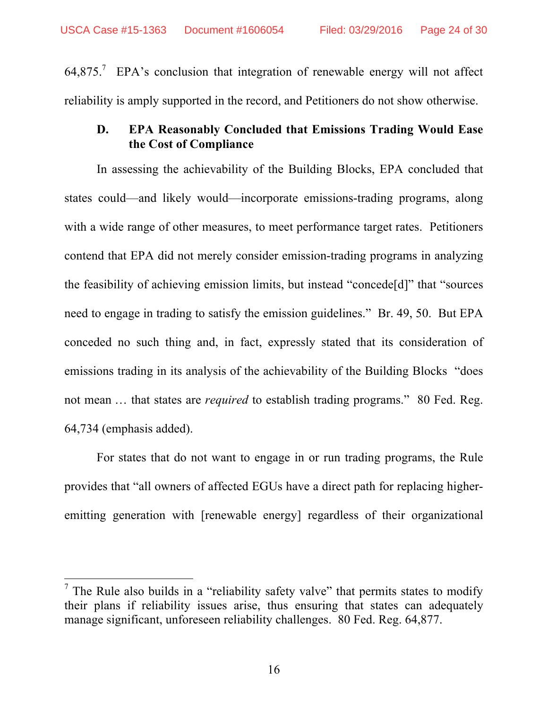$64,875$ .<sup>7</sup> EPA's conclusion that integration of renewable energy will not affect reliability is amply supported in the record, and Petitioners do not show otherwise.

# **D. EPA Reasonably Concluded that Emissions Trading Would Ease the Cost of Compliance**

In assessing the achievability of the Building Blocks, EPA concluded that states could—and likely would—incorporate emissions-trading programs, along with a wide range of other measures, to meet performance target rates. Petitioners contend that EPA did not merely consider emission-trading programs in analyzing the feasibility of achieving emission limits, but instead "concede[d]" that "sources need to engage in trading to satisfy the emission guidelines." Br. 49, 50. But EPA conceded no such thing and, in fact, expressly stated that its consideration of emissions trading in its analysis of the achievability of the Building Blocks "does not mean ... that states are *required* to establish trading programs." 80 Fed. Reg. 64,734 (emphasis added).

For states that do not want to engage in or run trading programs, the Rule provides that "all owners of affected EGUs have a direct path for replacing higheremitting generation with [renewable energy] regardless of their organizational

 $<sup>7</sup>$  The Rule also builds in a "reliability safety valve" that permits states to modify</sup> their plans if reliability issues arise, thus ensuring that states can adequately manage significant, unforeseen reliability challenges. 80 Fed. Reg. 64,877.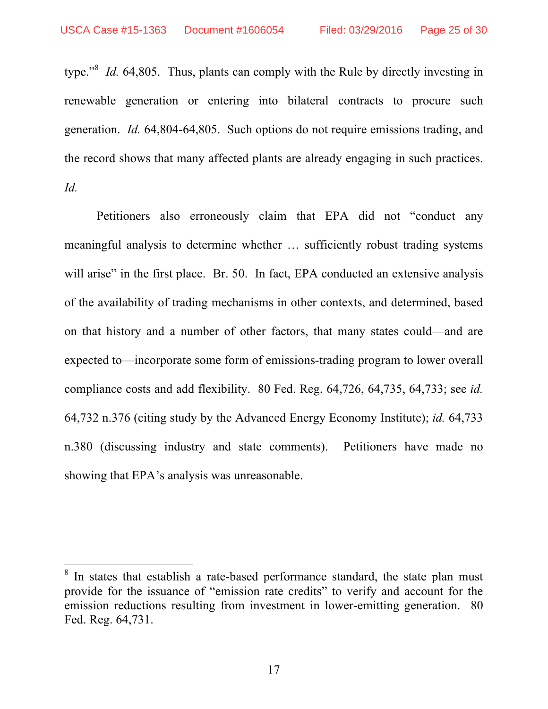type."<sup>8</sup> *Id.* 64,805. Thus, plants can comply with the Rule by directly investing in renewable generation or entering into bilateral contracts to procure such generation. *Id.* 64,804-64,805. Such options do not require emissions trading, and the record shows that many affected plants are already engaging in such practices. *Id.*

Petitioners also erroneously claim that EPA did not "conduct any meaningful analysis to determine whether … sufficiently robust trading systems will arise" in the first place. Br. 50. In fact, EPA conducted an extensive analysis of the availability of trading mechanisms in other contexts, and determined, based on that history and a number of other factors, that many states could—and are expected to—incorporate some form of emissions-trading program to lower overall compliance costs and add flexibility. 80 Fed. Reg. 64,726, 64,735, 64,733; see *id.* 64,732 n.376 (citing study by the Advanced Energy Economy Institute); *id.* 64,733 n.380 (discussing industry and state comments). Petitioners have made no showing that EPA's analysis was unreasonable.

In states that establish a rate-based performance standard, the state plan must provide for the issuance of "emission rate credits" to verify and account for the emission reductions resulting from investment in lower-emitting generation. 80 Fed. Reg. 64,731.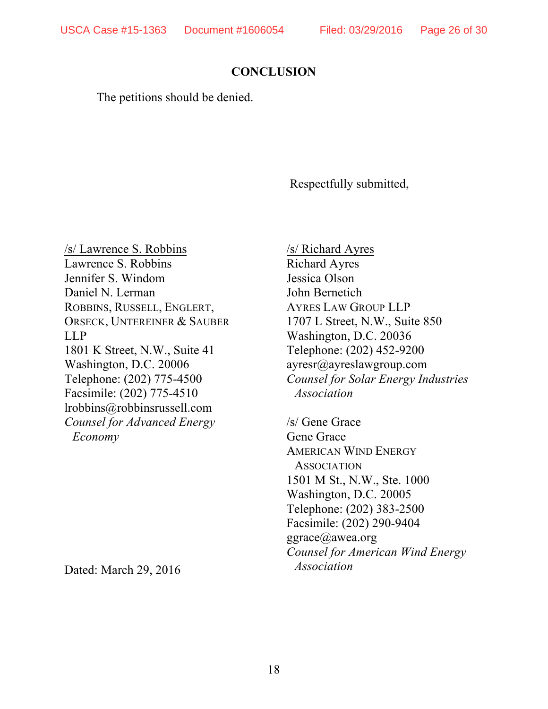# **CONCLUSION**

The petitions should be denied.

Respectfully submitted,

/s/ Lawrence S. Robbins Lawrence S. Robbins Jennifer S. Windom Daniel N. Lerman ROBBINS, RUSSELL, ENGLERT, ORSECK, UNTEREINER & SAUBER LLP 1801 K Street, N.W., Suite 41 Washington, D.C. 20006 Telephone: (202) 775-4500 Facsimile: (202) 775-4510 lrobbins@robbinsrussell.com *Counsel for Advanced Energy Economy*

Dated: March 29, 2016

/s/ Richard Ayres Richard Ayres Jessica Olson John Bernetich AYRES LAW GROUP LLP 1707 L Street, N.W., Suite 850 Washington, D.C. 20036 Telephone: (202) 452-9200 ayresr@ayreslawgroup.com *Counsel for Solar Energy Industries Association* 

/s/ Gene Grace Gene Grace AMERICAN WIND ENERGY **ASSOCIATION** 1501 M St., N.W., Ste. 1000 Washington, D.C. 20005 Telephone: (202) 383-2500 Facsimile: (202) 290-9404 ggrace@awea.org *Counsel for American Wind Energy Association*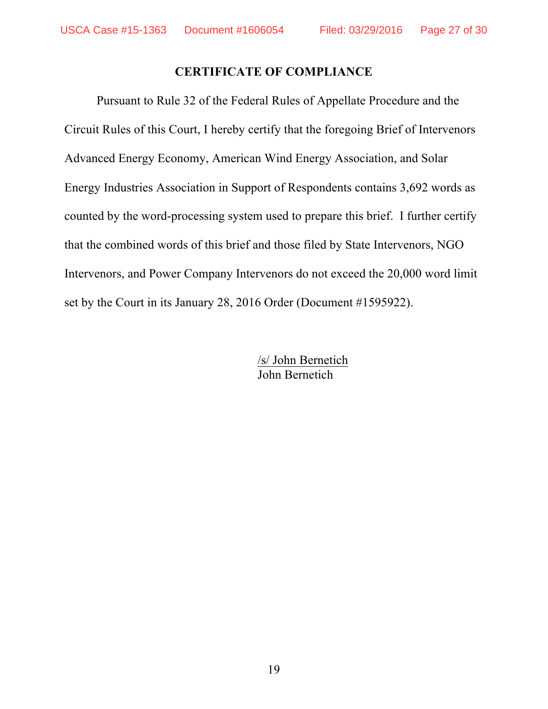# **CERTIFICATE OF COMPLIANCE**

Pursuant to Rule 32 of the Federal Rules of Appellate Procedure and the Circuit Rules of this Court, I hereby certify that the foregoing Brief of Intervenors Advanced Energy Economy, American Wind Energy Association, and Solar Energy Industries Association in Support of Respondents contains 3,692 words as counted by the word-processing system used to prepare this brief. I further certify that the combined words of this brief and those filed by State Intervenors, NGO Intervenors, and Power Company Intervenors do not exceed the 20,000 word limit set by the Court in its January 28, 2016 Order (Document #1595922).

> /s/ John Bernetich John Bernetich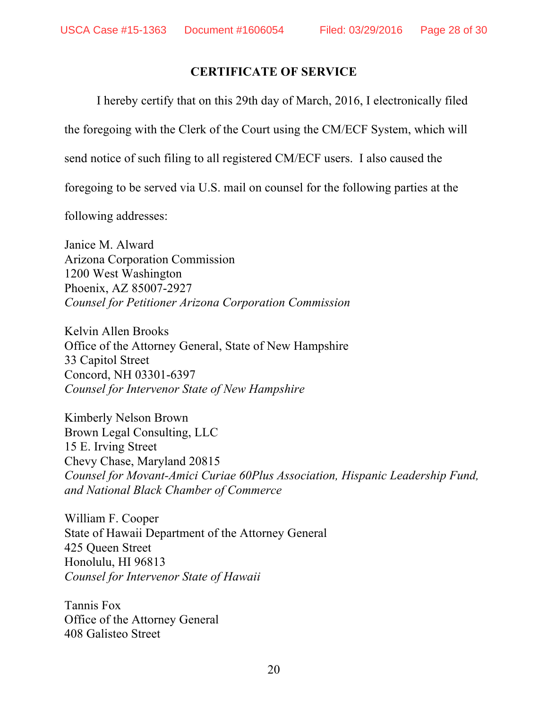# **CERTIFICATE OF SERVICE**

I hereby certify that on this 29th day of March, 2016, I electronically filed

the foregoing with the Clerk of the Court using the CM/ECF System, which will

send notice of such filing to all registered CM/ECF users. I also caused the

foregoing to be served via U.S. mail on counsel for the following parties at the

following addresses:

Janice M. Alward Arizona Corporation Commission 1200 West Washington Phoenix, AZ 85007-2927 *Counsel for Petitioner Arizona Corporation Commission*

Kelvin Allen Brooks Office of the Attorney General, State of New Hampshire 33 Capitol Street Concord, NH 03301-6397 *Counsel for Intervenor State of New Hampshire*

Kimberly Nelson Brown Brown Legal Consulting, LLC 15 E. Irving Street Chevy Chase, Maryland 20815 *Counsel for Movant-Amici Curiae 60Plus Association, Hispanic Leadership Fund, and National Black Chamber of Commerce* 

William F. Cooper State of Hawaii Department of the Attorney General 425 Queen Street Honolulu, HI 96813 *Counsel for Intervenor State of Hawaii*

Tannis Fox Office of the Attorney General 408 Galisteo Street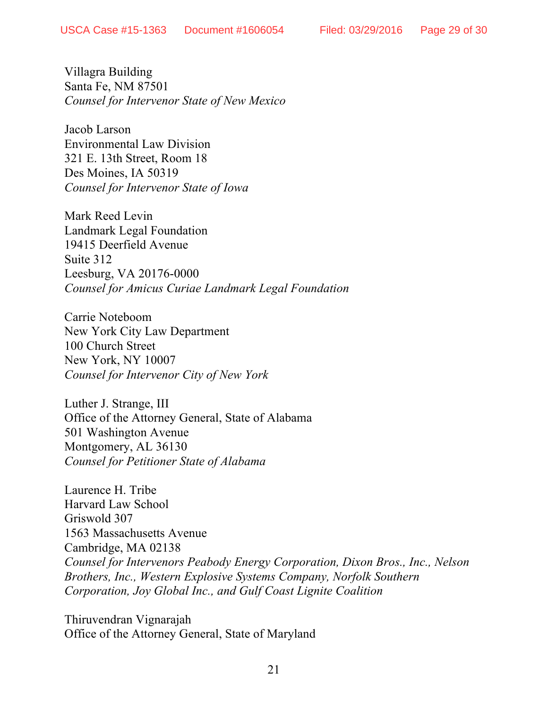Villagra Building Santa Fe, NM 87501 *Counsel for Intervenor State of New Mexico*

Jacob Larson Environmental Law Division 321 E. 13th Street, Room 18 Des Moines, IA 50319 *Counsel for Intervenor State of Iowa*

Mark Reed Levin Landmark Legal Foundation 19415 Deerfield Avenue Suite 312 Leesburg, VA 20176-0000 *Counsel for Amicus Curiae Landmark Legal Foundation*

Carrie Noteboom New York City Law Department 100 Church Street New York, NY 10007 *Counsel for Intervenor City of New York*

Luther J. Strange, III Office of the Attorney General, State of Alabama 501 Washington Avenue Montgomery, AL 36130 *Counsel for Petitioner State of Alabama*

Laurence H. Tribe Harvard Law School Griswold 307 1563 Massachusetts Avenue Cambridge, MA 02138 *Counsel for Intervenors Peabody Energy Corporation, Dixon Bros., Inc., Nelson Brothers, Inc., Western Explosive Systems Company, Norfolk Southern Corporation, Joy Global Inc., and Gulf Coast Lignite Coalition*

Thiruvendran Vignarajah Office of the Attorney General, State of Maryland